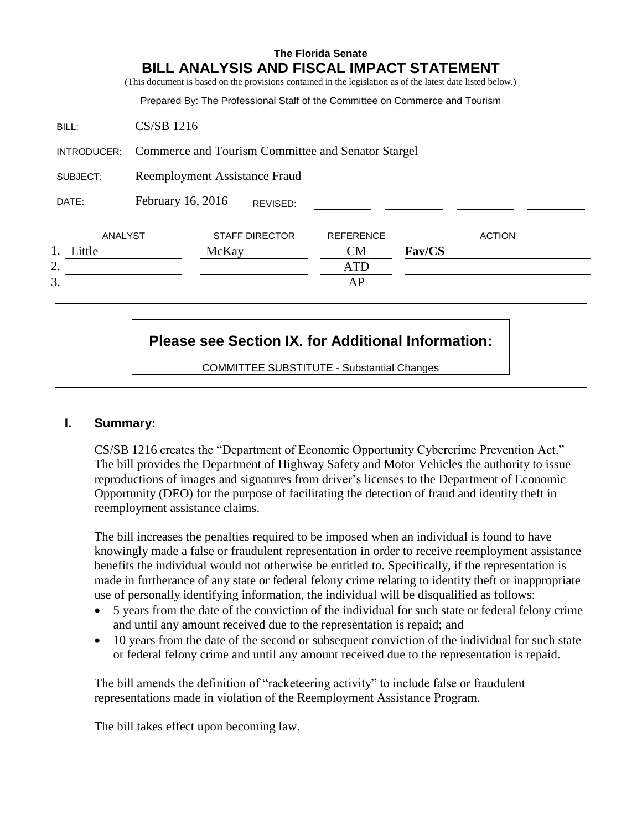|             |                                                    |       |                       | Prepared By: The Professional Staff of the Committee on Commerce and Tourism |        |               |
|-------------|----------------------------------------------------|-------|-----------------------|------------------------------------------------------------------------------|--------|---------------|
| BILL:       | <b>CS/SB 1216</b>                                  |       |                       |                                                                              |        |               |
| INTRODUCER: | Commerce and Tourism Committee and Senator Stargel |       |                       |                                                                              |        |               |
| SUBJECT:    | Reemployment Assistance Fraud                      |       |                       |                                                                              |        |               |
| DATE:       | February 16, 2016                                  |       | REVISED:              |                                                                              |        |               |
| ANALYST     |                                                    |       | <b>STAFF DIRECTOR</b> | <b>REFERENCE</b>                                                             |        | <b>ACTION</b> |
| Little      |                                                    | McKay |                       | <b>CM</b>                                                                    | Fav/CS |               |
| 2.          |                                                    |       |                       | <b>ATD</b>                                                                   |        |               |
| 3.          |                                                    |       |                       | AP                                                                           |        |               |

# **Please see Section IX. for Additional Information:**

COMMITTEE SUBSTITUTE - Substantial Changes

#### **I. Summary:**

CS/SB 1216 creates the "Department of Economic Opportunity Cybercrime Prevention Act." The bill provides the Department of Highway Safety and Motor Vehicles the authority to issue reproductions of images and signatures from driver's licenses to the Department of Economic Opportunity (DEO) for the purpose of facilitating the detection of fraud and identity theft in reemployment assistance claims.

The bill increases the penalties required to be imposed when an individual is found to have knowingly made a false or fraudulent representation in order to receive reemployment assistance benefits the individual would not otherwise be entitled to. Specifically, if the representation is made in furtherance of any state or federal felony crime relating to identity theft or inappropriate use of personally identifying information, the individual will be disqualified as follows:

- 5 years from the date of the conviction of the individual for such state or federal felony crime and until any amount received due to the representation is repaid; and
- 10 years from the date of the second or subsequent conviction of the individual for such state or federal felony crime and until any amount received due to the representation is repaid.

The bill amends the definition of "racketeering activity" to include false or fraudulent representations made in violation of the Reemployment Assistance Program.

The bill takes effect upon becoming law.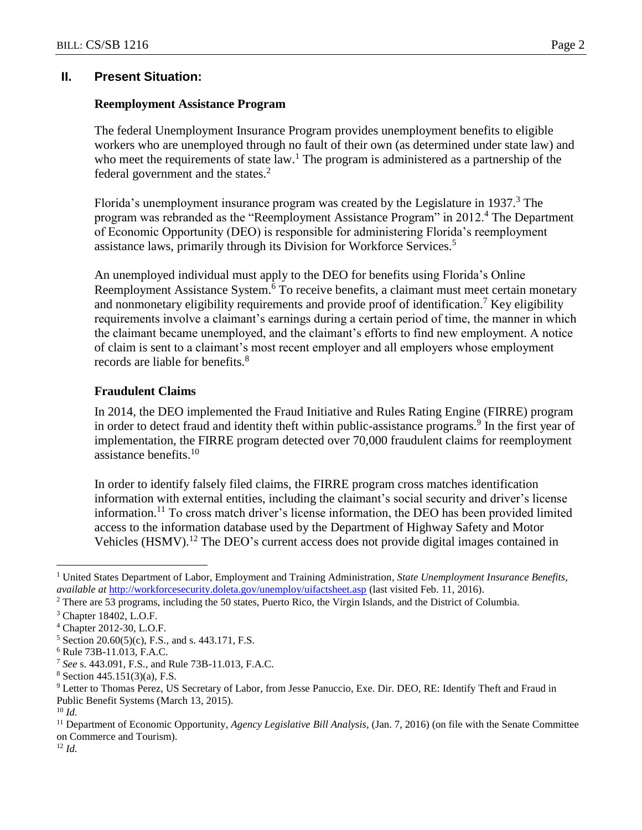## **II. Present Situation:**

## **Reemployment Assistance Program**

The federal Unemployment Insurance Program provides unemployment benefits to eligible workers who are unemployed through no fault of their own (as determined under state law) and who meet the requirements of state  $law<sup>1</sup>$ . The program is administered as a partnership of the federal government and the states.<sup>2</sup>

Florida's unemployment insurance program was created by the Legislature in 1937. $3$  The program was rebranded as the "Reemployment Assistance Program" in 2012.<sup>4</sup> The Department of Economic Opportunity (DEO) is responsible for administering Florida's reemployment assistance laws, primarily through its Division for Workforce Services.<sup>5</sup>

An unemployed individual must apply to the DEO for benefits using Florida's Online Reemployment Assistance System.<sup>6</sup> To receive benefits, a claimant must meet certain monetary and nonmonetary eligibility requirements and provide proof of identification.<sup>7</sup> Key eligibility requirements involve a claimant's earnings during a certain period of time, the manner in which the claimant became unemployed, and the claimant's efforts to find new employment. A notice of claim is sent to a claimant's most recent employer and all employers whose employment records are liable for benefits.<sup>8</sup>

## **Fraudulent Claims**

In 2014, the DEO implemented the Fraud Initiative and Rules Rating Engine (FIRRE) program in order to detect fraud and identity theft within public-assistance programs.<sup>9</sup> In the first year of implementation, the FIRRE program detected over 70,000 fraudulent claims for reemployment assistance benefits. $10$ 

In order to identify falsely filed claims, the FIRRE program cross matches identification information with external entities, including the claimant's social security and driver's license information.<sup>11</sup> To cross match driver's license information, the DEO has been provided limited access to the information database used by the Department of Highway Safety and Motor Vehicles (HSMV).<sup>12</sup> The DEO's current access does not provide digital images contained in

 $\overline{a}$ 

<sup>11</sup> Department of Economic Opportunity, *Agency Legislative Bill Analysis*, (Jan. 7, 2016) (on file with the Senate Committee on Commerce and Tourism).

<sup>12</sup> *Id.*

<sup>1</sup> United States Department of Labor, Employment and Training Administration*, State Unemployment Insurance Benefits, available at* <http://workforcesecurity.doleta.gov/unemploy/uifactsheet.asp> [\(](http://workforcesecurity.doleta.gov/unemploy/uifactsheet.asp)last visited Feb. 11, 2016).

<sup>2</sup> There are 53 programs, including the 50 states, Puerto Rico, the Virgin Islands, and the District of Columbia.

<sup>3</sup> Chapter 18402, L.O.F.

<sup>4</sup> Chapter 2012-30, L.O.F.

 $5$  Section 20.60(5)(c), F.S., and s. 443.171, F.S.

<sup>6</sup> Rule 73B-11.013, F.A.C.

<sup>7</sup> *See* s. 443.091, F.S., and Rule 73B-11.013, F.A.C.

 $8$  Section 445.151(3)(a), F.S.

<sup>9</sup> Letter to Thomas Perez, US Secretary of Labor, from Jesse Panuccio, Exe. Dir. DEO, RE: Identify Theft and Fraud in Public Benefit Systems (March 13, 2015).

<sup>10</sup> *Id.*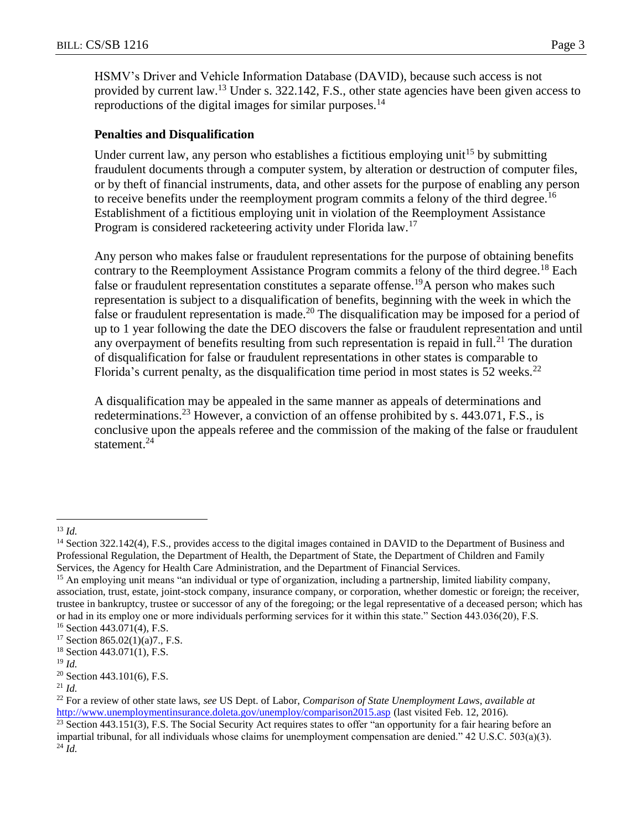HSMV's Driver and Vehicle Information Database (DAVID), because such access is not provided by current law.<sup>13</sup> Under s. 322.142, F.S., other state agencies have been given access to reproductions of the digital images for similar purposes.<sup>14</sup>

#### **Penalties and Disqualification**

Under current law, any person who establishes a fictitious employing unit<sup>15</sup> by submitting fraudulent documents through a computer system, by alteration or destruction of computer files, or by theft of financial instruments, data, and other assets for the purpose of enabling any person to receive benefits under the reemployment program commits a felony of the third degree.<sup>16</sup> Establishment of a fictitious employing unit in violation of the Reemployment Assistance Program is considered racketeering activity under Florida law.<sup>17</sup>

Any person who makes false or fraudulent representations for the purpose of obtaining benefits contrary to the Reemployment Assistance Program commits a felony of the third degree.<sup>18</sup> Each false or fraudulent representation constitutes a separate offense.<sup>19</sup>A person who makes such representation is subject to a disqualification of benefits, beginning with the week in which the false or fraudulent representation is made.<sup>20</sup> The disqualification may be imposed for a period of up to 1 year following the date the DEO discovers the false or fraudulent representation and until any overpayment of benefits resulting from such representation is repaid in full.<sup>21</sup> The duration of disqualification for false or fraudulent representations in other states is comparable to Florida's current penalty, as the disqualification time period in most states is 52 weeks.<sup>22</sup>

A disqualification may be appealed in the same manner as appeals of determinations and redeterminations.<sup>23</sup> However, a conviction of an offense prohibited by s.  $443.071$ , F.S., is conclusive upon the appeals referee and the commission of the making of the false or fraudulent statement.<sup>24</sup>

 $\overline{a}$ 

<sup>13</sup> *Id.*

<sup>&</sup>lt;sup>14</sup> Section 322.142(4), F.S., provides access to the digital images contained in DAVID to the Department of Business and Professional Regulation, the Department of Health, the Department of State, the Department of Children and Family Services, the Agency for Health Care Administration, and the Department of Financial Services.

<sup>&</sup>lt;sup>15</sup> An employing unit means "an individual or type of organization, including a partnership, limited liability company, association, trust, estate, joint-stock company, insurance company, or corporation, whether domestic or foreign; the receiver, trustee in bankruptcy, trustee or successor of any of the foregoing; or the legal representative of a deceased person; which has or had in its employ one or more individuals performing services for it within this state." Section 443.036(20), F.S. <sup>16</sup> Section 443.071(4), F.S.

<sup>17</sup> Section 865.02(1)(a)7., F.S.

 $18$  Section 443.071(1), F.S.

<sup>19</sup> *Id.*

 $20$  Section 443.101(6), F.S.

<sup>21</sup> *Id.*

<sup>22</sup> For a review of other state laws, *see* US Dept. of Labor, *Comparison of State Unemployment Laws*, *available at* <http://www.unemploymentinsurance.doleta.gov/unemploy/comparison2015.asp> (last visited Feb. 12, 2016).

 $^{23}$  Section 443.151(3), F.S. The Social Security Act requires states to offer "an opportunity for a fair hearing before an impartial tribunal, for all individuals whose claims for unemployment compensation are denied." 42 U.S.C. 503(a)(3).  $^{24}$  *Id.*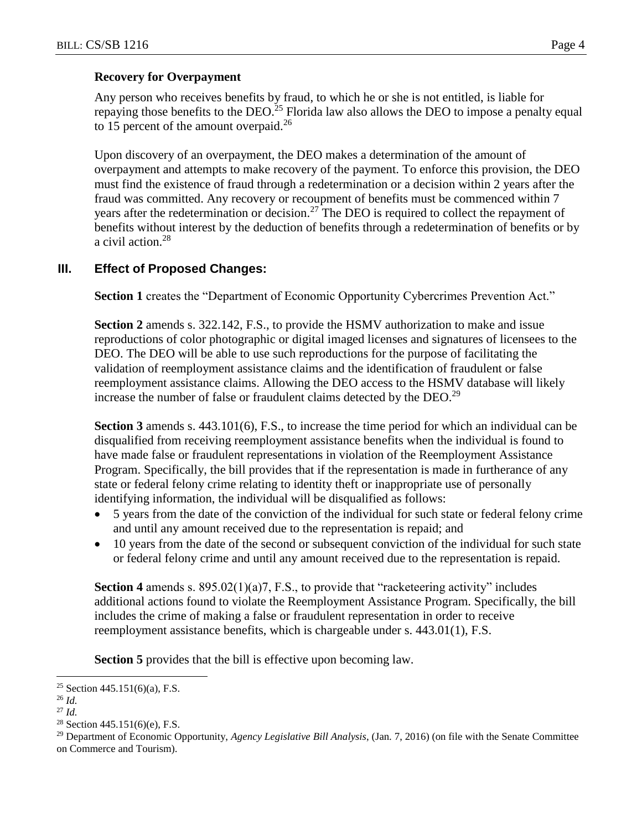### **Recovery for Overpayment**

Any person who receives benefits by fraud, to which he or she is not entitled, is liable for repaying those benefits to the DEO.<sup>25</sup> Florida law also allows the DEO to impose a penalty equal to 15 percent of the amount overpaid.<sup>26</sup>

Upon discovery of an overpayment, the DEO makes a determination of the amount of overpayment and attempts to make recovery of the payment. To enforce this provision, the DEO must find the existence of fraud through a redetermination or a decision within 2 years after the fraud was committed. Any recovery or recoupment of benefits must be commenced within 7 years after the redetermination or decision.<sup>27</sup> The DEO is required to collect the repayment of benefits without interest by the deduction of benefits through a redetermination of benefits or by a civil action.<sup>28</sup>

### **III. Effect of Proposed Changes:**

**Section 1** creates the "Department of Economic Opportunity Cybercrimes Prevention Act."

**Section 2** amends s. 322.142, F.S., to provide the HSMV authorization to make and issue reproductions of color photographic or digital imaged licenses and signatures of licensees to the DEO. The DEO will be able to use such reproductions for the purpose of facilitating the validation of reemployment assistance claims and the identification of fraudulent or false reemployment assistance claims. Allowing the DEO access to the HSMV database will likely increase the number of false or fraudulent claims detected by the DEO.<sup>29</sup>

**Section 3** amends s. 443.101(6), F.S., to increase the time period for which an individual can be disqualified from receiving reemployment assistance benefits when the individual is found to have made false or fraudulent representations in violation of the Reemployment Assistance Program. Specifically, the bill provides that if the representation is made in furtherance of any state or federal felony crime relating to identity theft or inappropriate use of personally identifying information, the individual will be disqualified as follows:

- 5 years from the date of the conviction of the individual for such state or federal felony crime and until any amount received due to the representation is repaid; and
- 10 years from the date of the second or subsequent conviction of the individual for such state or federal felony crime and until any amount received due to the representation is repaid.

**Section 4** amends s. 895.02(1)(a)7, F.S., to provide that "racketeering activity" includes additional actions found to violate the Reemployment Assistance Program. Specifically, the bill includes the crime of making a false or fraudulent representation in order to receive reemployment assistance benefits, which is chargeable under s. 443.01(1), F.S.

**Section 5** provides that the bill is effective upon becoming law.

 $\overline{a}$ 

<sup>&</sup>lt;sup>25</sup> Section 445.151(6)(a), F.S.

<sup>26</sup> *Id.*

<sup>27</sup> *Id.*

<sup>&</sup>lt;sup>28</sup> Section  $445.151(6)(e)$ , F.S.

<sup>29</sup> Department of Economic Opportunity, *Agency Legislative Bill Analysis*, (Jan. 7, 2016) (on file with the Senate Committee on Commerce and Tourism).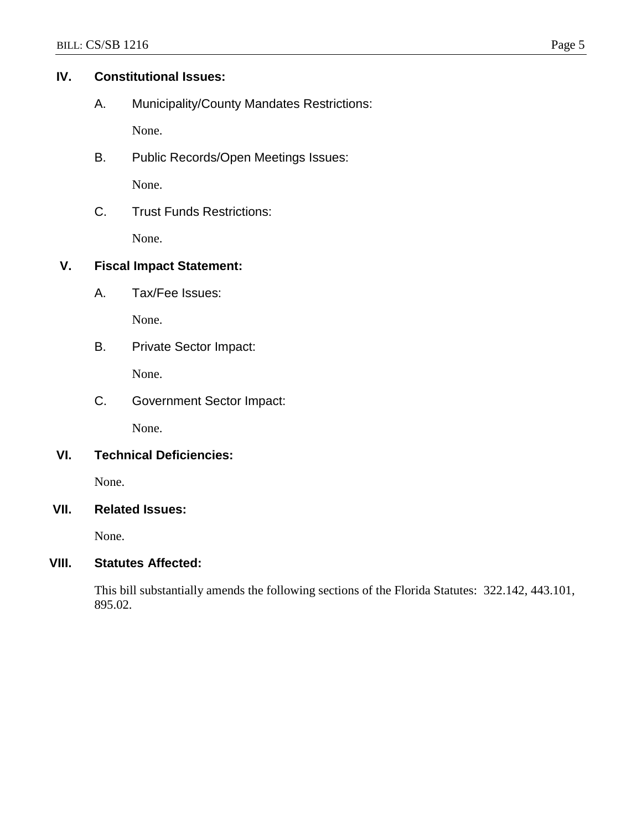# **IV. Constitutional Issues:**

A. Municipality/County Mandates Restrictions:

None.

B. Public Records/Open Meetings Issues:

None.

C. Trust Funds Restrictions:

None.

# **V. Fiscal Impact Statement:**

A. Tax/Fee Issues:

None.

B. Private Sector Impact:

None.

C. Government Sector Impact:

None.

## **VI. Technical Deficiencies:**

None.

# **VII. Related Issues:**

None.

## **VIII. Statutes Affected:**

This bill substantially amends the following sections of the Florida Statutes: 322.142, 443.101, 895.02.